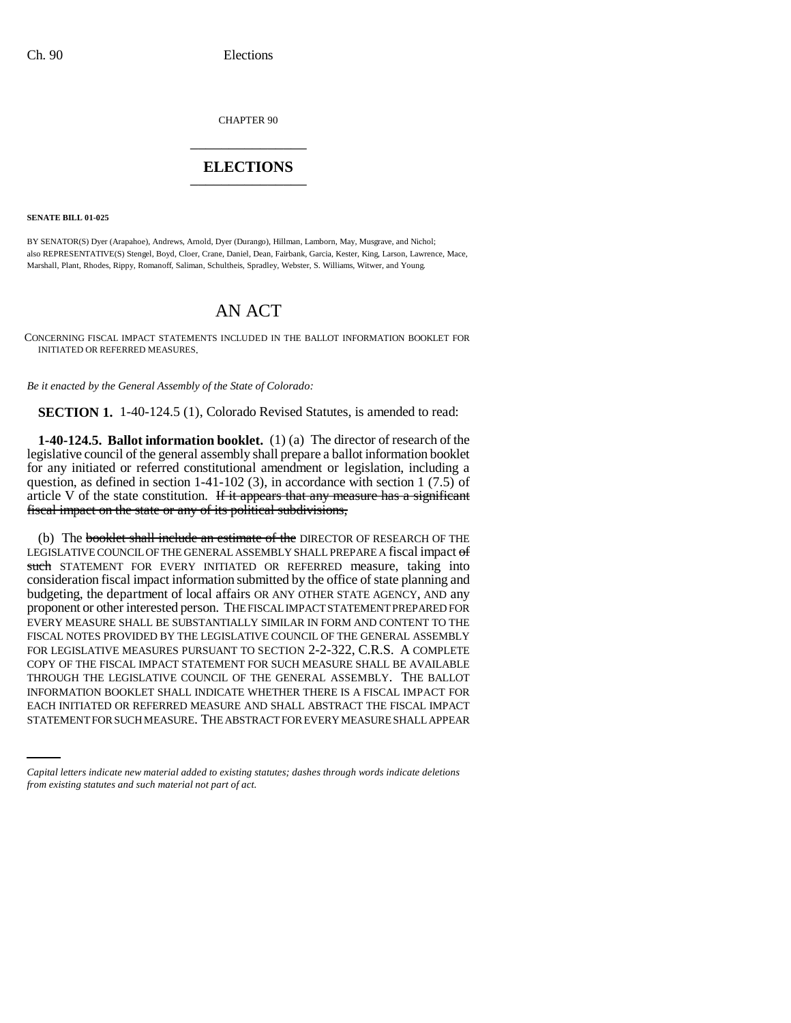CHAPTER 90 \_\_\_\_\_\_\_\_\_\_\_\_\_\_\_

## **ELECTIONS** \_\_\_\_\_\_\_\_\_\_\_\_\_\_\_

**SENATE BILL 01-025**

BY SENATOR(S) Dyer (Arapahoe), Andrews, Arnold, Dyer (Durango), Hillman, Lamborn, May, Musgrave, and Nichol; also REPRESENTATIVE(S) Stengel, Boyd, Cloer, Crane, Daniel, Dean, Fairbank, Garcia, Kester, King, Larson, Lawrence, Mace, Marshall, Plant, Rhodes, Rippy, Romanoff, Saliman, Schultheis, Spradley, Webster, S. Williams, Witwer, and Young.

## AN ACT

CONCERNING FISCAL IMPACT STATEMENTS INCLUDED IN THE BALLOT INFORMATION BOOKLET FOR INITIATED OR REFERRED MEASURES.

*Be it enacted by the General Assembly of the State of Colorado:*

**SECTION 1.** 1-40-124.5 (1), Colorado Revised Statutes, is amended to read:

**1-40-124.5. Ballot information booklet.** (1) (a) The director of research of the legislative council of the general assembly shall prepare a ballot information booklet for any initiated or referred constitutional amendment or legislation, including a question, as defined in section 1-41-102 (3), in accordance with section 1 (7.5) of article V of the state constitution. If it appears that any measure has a significant fiscal impact on the state or any of its political subdivisions,

INFORMATION BOOKLET SHALL INDICATE WHETHER THERE IS A FISCAL IMPACT FOR (b) The booklet shall include an estimate of the DIRECTOR OF RESEARCH OF THE LEGISLATIVE COUNCIL OF THE GENERAL ASSEMBLY SHALL PREPARE A fiscal impact of such STATEMENT FOR EVERY INITIATED OR REFERRED measure, taking into consideration fiscal impact information submitted by the office of state planning and budgeting, the department of local affairs OR ANY OTHER STATE AGENCY, AND any proponent or other interested person. THE FISCAL IMPACT STATEMENT PREPARED FOR EVERY MEASURE SHALL BE SUBSTANTIALLY SIMILAR IN FORM AND CONTENT TO THE FISCAL NOTES PROVIDED BY THE LEGISLATIVE COUNCIL OF THE GENERAL ASSEMBLY FOR LEGISLATIVE MEASURES PURSUANT TO SECTION 2-2-322, C.R.S. A COMPLETE COPY OF THE FISCAL IMPACT STATEMENT FOR SUCH MEASURE SHALL BE AVAILABLE THROUGH THE LEGISLATIVE COUNCIL OF THE GENERAL ASSEMBLY. THE BALLOT EACH INITIATED OR REFERRED MEASURE AND SHALL ABSTRACT THE FISCAL IMPACT STATEMENT FOR SUCH MEASURE. THE ABSTRACT FOR EVERY MEASURE SHALL APPEAR

*Capital letters indicate new material added to existing statutes; dashes through words indicate deletions from existing statutes and such material not part of act.*